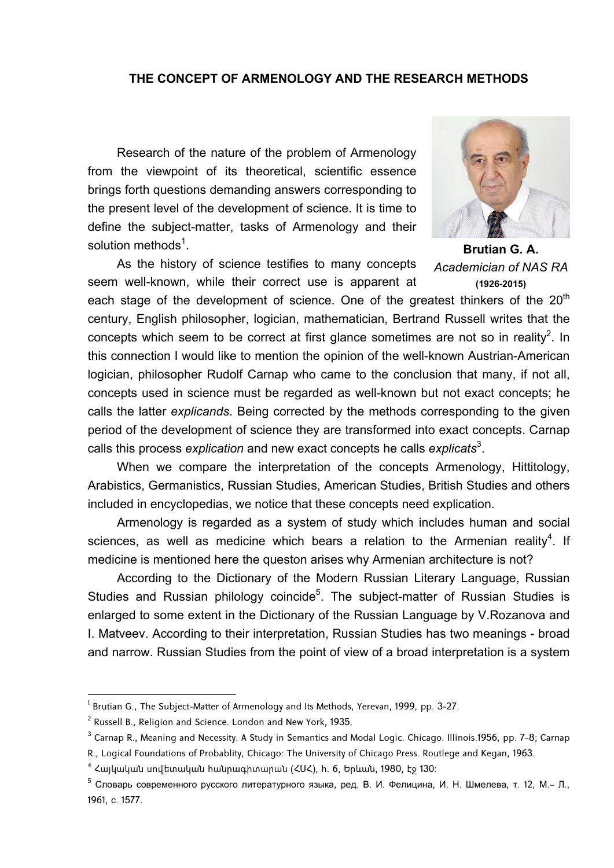#### **THE CONCEPT OF ARMENOLOGY AND THE RESEARCH METHODS**

Research of the nature of the problem of Armenology from the viewpoint of its theoretical, scientific essence brings forth questions demanding answers corresponding to the present level of the development of science. It is time to define the subject-matter, tasks of Armenology and their solution methods<sup>1</sup>.

As the history of science testifies to many concepts seem well-known, while their correct use is apparent at



**Brutian G. A.**  *Academician of NAS RA* **(1926-2015)** 

each stage of the development of science. One of the greatest thinkers of the  $20<sup>th</sup>$ century, English philosopher, logician, mathematician, Bertrand Russell writes that the concepts which seem to be correct at first glance sometimes are not so in reality<sup>2</sup>. In this connection I would like to mention the opinion of the well-known Austrian-American logician, philosopher Rudolf Carnap who came to the conclusion that many, if not all, concepts used in science must be regarded as well-known but not exact concepts; he calls the latter *explicands*. Being corrected by the methods corresponding to the given period of the development of science they are transformed into exact concepts. Carnap calls this process *explication* and new exact concepts he calls *explicats*<sup>3</sup> .

When we compare the interpretation of the concepts Armenology, Hittitology, Arabistics, Germanistics, Russian Studies, American Studies, British Studies and others included in encyclopedias, we notice that these concepts need explication.

Armenology is regarded as a system of study which includes human and social sciences, as well as medicine which bears a relation to the Armenian reality<sup>4</sup>. If medicine is mentioned here the queston arises why Armenian architecture is not?

According to the Dictionary of the Modern Russian Literary Language, Russian Studies and Russian philology coincide<sup>5</sup>. The subject-matter of Russian Studies is enlarged to some extent in the Dictionary of the Russian Language by V.Rozanova and I. Matveev. According to their interpretation, Russian Studies has two meanings - broad and narrow. Russian Studies from the point of view of a broad interpretation is a system

 $^{\rm 1}$  Brutian G., The Subject-Matter of Armenology and Its Methods, Yerevan, 1999, pp. 3–27.

 $^2$  Russell B., Religion and Science. London and New York, 1935.  $\,$ 

 $^3$  Carnap R., Meaning and Necessity. A Study in Semantics and Modal Logic. Chicago. Illinois.1956, pp. 7–8; Carnap

R., Logical Foundations of Probablity, Chicago: The University of Chicago Press. Routlege and Kegan, 1963.

<sup>4</sup> Հայկական սովետական հանրագիտարան (ՀՍՀ), հ. 6, Երևան, 1980, էջ 130:

<sup>5</sup> Словарь современного русского литературного языка, ред. В. И. Фелицина, И. Н. Шмелева, т. 12, М.– Л., 1961, с. 1577.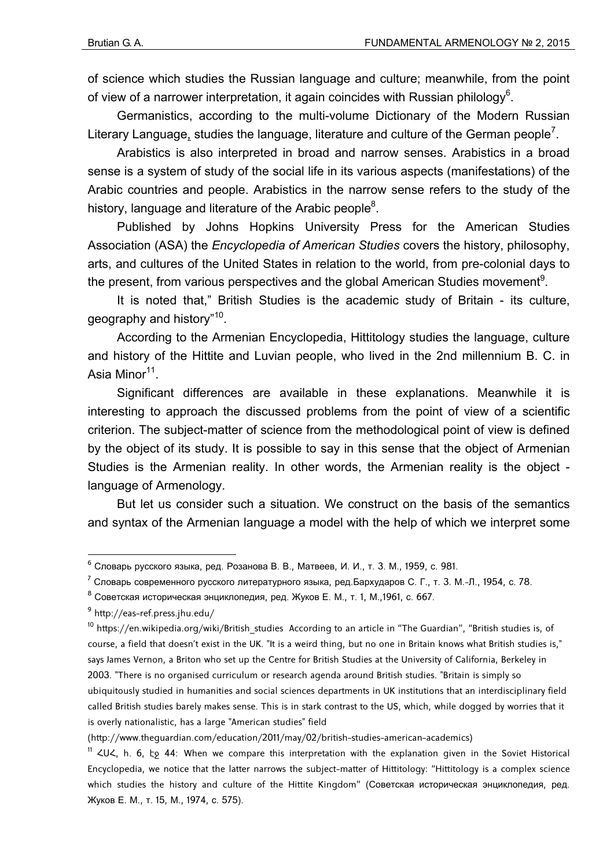of science which studies the Russian language and culture; meanwhile, from the point of view of a narrower interpretation, it again coincides with Russian philology<sup>6</sup>.

Germanistics, according to the multi-volume Dictionary of the Modern Russian Literary Language, studies the language, literature and culture of the German people<sup>7</sup>.

Arabistics is also interpreted in broad and narrow senses. Arabistics in a broad sense is a system of study of the social life in its various aspects (manifestations) of the Arabic countries and people. Arabistics in the narrow sense refers to the study of the history, language and literature of the Arabic people<sup>8</sup>.

Published by Johns Hopkins University Press for the American Studies Association (ASA) the *Encyclopedia of American Studies* covers the history, philosophy, arts, and cultures of the United States in relation to the world, from pre-colonial days to the present, from various perspectives and the global American Studies movement<sup>9</sup>.

It is noted that," British Studies is the academic study of Britain - its culture, geography and history"<sup>10</sup>.

According to the Armenian Encyclopedia, Hittitology studies the language, culture and history of the Hittite and Luvian people, who lived in the 2nd millennium B. C. in Asia Minor<sup>11</sup>.

Significant differences are available in these explanations. Meanwhile it is interesting to approach the discussed problems from the point of view of a scientific criterion. The subject-matter of science from the methodological point of view is defined by the object of its study. It is possible to say in this sense that the object of Armenian Studies is the Armenian reality. In other words, the Armenian reality is the object language of Armenology.

But let us consider such a situation. We construct on the basis of the semantics and syntax of the Armenian language a model with the help of which we interpret some

<sup>6</sup> Словарь русского языка, ред. Розанова В. В., Матвеев, И. И., т. 3. М., 1959, с. 981.

<sup>7</sup> Словарь современного русского литературного языка, ред.Бархударов С. Г., т. 3. М.-Л., 1954, с. 78.

 $8$  Советская историческая энциклопедия, ред. Жуков Е. М., т. 1, М., 1961, с. 667.

<sup>&</sup>lt;sup>9</sup> http://eas-ref.press.jhu.edu/

 $10$  https://en.wikipedia.org/wiki/British studies According to an article in "The Guardian", "British studies is, of course, a field that doesn't exist in the UK. "It is a weird thing, but no one in Britain knows what British studies is," says James Vernon, a Briton who set up the Centre for British Studies at the University of California, Berkeley in 2003. "There is no organised curriculum or research agenda around British studies. "Britain is simply so ubiquitously studied in humanities and social sciences departments in UK institutions that an interdisciplinary field called British studies barely makes sense. This is in stark contrast to the US, which, while dogged by worries that it is overly nationalistic, has a large "American studies" field

<sup>(</sup>http://www.theguardian.com/education/2011/may/02/british-studies-american-academics)

 $11$   $20\%$ , h. 6,  $5$  44: When we compare this interpretation with the explanation given in the Soviet Historical Encyclopedia, we notice that the latter narrows the subject-matter of Hittitology: "Hittitology is a complex science which studies the history and culture of the Hittite Kingdom" (Советская историческая энциклопедия, ред. Жуков Е. М., т. 15, М., 1974, с. 575).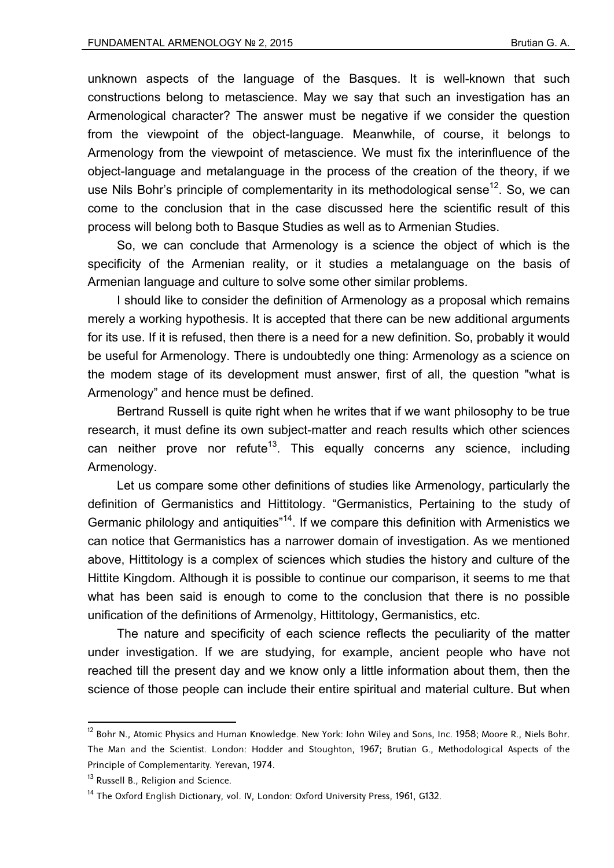unknown aspects of the language of the Basques. It is well-known that such constructions belong to metascience. May we say that such an investigation has an Armenological character? The answer must be negative if we consider the question from the viewpoint of the object-language. Meanwhile, of course, it belongs to Armenology from the viewpoint of metascience. We must fix the interinfluence of the object-language and metalanguage in the process of the creation of the theory, if we use Nils Bohr's principle of complementarity in its methodological sense<sup>12</sup>. So, we can come to the conclusion that in the case discussed here the scientific result of this process will belong both to Basque Studies as well as to Armenian Studies.

So, we can conclude that Armenology is a science the object of which is the specificity of the Armenian reality, or it studies a metalanguage on the basis of Armenian language and culture to solve some other similar problems.

I should like to consider the definition of Armenology as a proposal which remains merely a working hypothesis. It is accepted that there can be new additional arguments for its use. If it is refused, then there is a need for a new definition. So, probably it would be useful for Armenology. There is undoubtedly one thing: Armenology as a science on the modem stage of its development must answer, first of all, the question "what is Armenology" and hence must be defined.

Bertrand Russell is quite right when he writes that if we want philosophy to be true research, it must define its own subject-matter and reach results which other sciences can neither prove nor refute<sup>13</sup>. This equally concerns any science, including Armenology.

Let us compare some other definitions of studies like Armenology, particularly the definition of Germanistics and Hittitology. "Germanistics, Pertaining to the study of Germanic philology and antiquities<sup>"14</sup>. If we compare this definition with Armenistics we can notice that Germanistics has a narrower domain of investigation. As we mentioned above, Hittitology is a complex of sciences which studies the history and culture of the Hittite Kingdom. Although it is possible to continue our comparison, it seems to me that what has been said is enough to come to the conclusion that there is no possible unification of the definitions of Armenolgy, Hittitology, Germanistics, etc.

The nature and specificity of each science reflects the peculiarity of the matter under investigation. If we are studying, for example, ancient people who have not reached till the present day and we know only a little information about them, then the science of those people can include their entire spiritual and material culture. But when

<sup>&</sup>lt;sup>12</sup> Bohr N., Atomic Physics and Human Knowledge. New York: John Wiley and Sons, Inc. 1958; Moore R., Niels Bohr. The Man and the Scientist. London: Hodder and Stoughton, 1967; Brutian G., Methodological Aspects of the Principle of Complementarity. Yerevan, 1974.

<sup>&</sup>lt;sup>13</sup> Russell B., Religion and Science.

<sup>&</sup>lt;sup>14</sup> The Oxford Enalish Dictionary, vol. IV, London: Oxford University Press, 1961, G132.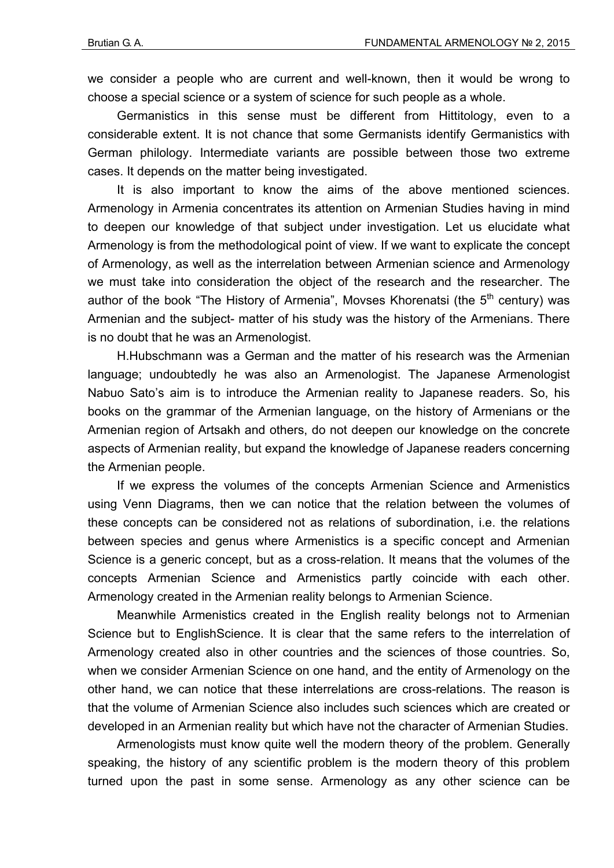we consider a people who are current and well-known, then it would be wrong to choose a special science or a system of science for such people as a whole.

Germanistics in this sense must be different from Hittitology, even to a considerable extent. It is not chance that some Germanists identify Germanistics with German philology. Intermediate variants are possible between those two extreme cases. It depends on the matter being investigated.

It is also important to know the aims of the above mentioned sciences. Armenology in Armenia concentrates its attention on Armenian Studies having in mind to deepen our knowledge of that subject under investigation. Let us elucidate what Armenology is from the methodological point of view. If we want to explicate the concept of Armenology, as well as the interrelation between Armenian science and Armenology we must take into consideration the object of the research and the researcher. The author of the book "The History of Armenia", Movses Khorenatsi (the  $5<sup>th</sup>$  century) was Armenian and the subject- matter of his study was the history of the Armenians. There is no doubt that he was an Armenologist.

H.Hubschmann was a German and the matter of his research was the Armenian language; undoubtedly he was also an Armenologist. The Japanese Armenologist Nabuo Sato's aim is to introduce the Armenian reality to Japanese readers. So, his books on the grammar of the Armenian language, on the history of Armenians or the Armenian region of Artsakh and others, do not deepen our knowledge on the concrete aspects of Armenian reality, but expand the knowledge of Japanese readers concerning the Armenian people.

If we express the volumes of the concepts Armenian Science and Armenistics using Venn Diagrams, then we can notice that the relation between the volumes of these concepts can be considered not as relations of subordination, i.e. the relations between species and genus where Armenistics is a specific concept and Armenian Science is a generic concept, but as a cross-relation. It means that the volumes of the concepts Armenian Science and Armenistics partly coincide with each other. Armenology created in the Armenian reality belongs to Armenian Science.

Meanwhile Armenistics created in the English reality belongs not to Armenian Science but to EnglishScience. It is clear that the same refers to the interrelation of Armenology created also in other countries and the sciences of those countries. So, when we consider Armenian Science on one hand, and the entity of Armenology on the other hand, we can notice that these interrelations are cross-relations. The reason is that the volume of Armenian Science also includes such sciences which are created or developed in an Armenian reality but which have not the character of Armenian Studies.

Armenologists must know quite well the modern theory of the problem. Generally speaking, the history of any scientific problem is the modern theory of this problem turned upon the past in some sense. Armenology as any other science can be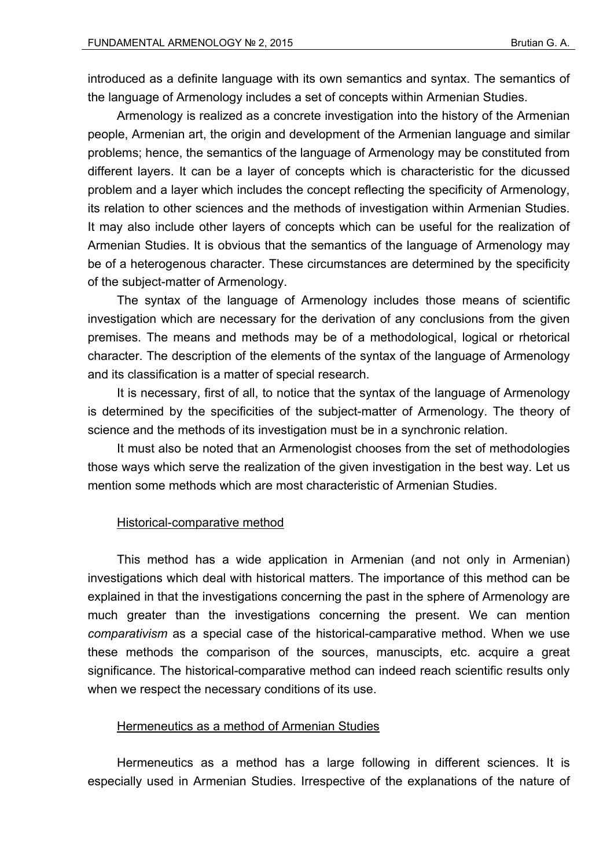introduced as a definite language with its own semantics and syntax. The semantics of the language of Armenology includes a set of concepts within Armenian Studies.

Armenology is realized as a concrete investigation into the history of the Armenian people, Armenian art, the origin and development of the Armenian language and similar problems; hence, the semantics of the language of Armenology may be constituted from different layers. It can be a layer of concepts which is characteristic for the dicussed problem and a layer which includes the concept reflecting the specificity of Armenology, its relation to other sciences and the methods of investigation within Armenian Studies. It may also include other layers of concepts which can be useful for the realization of Armenian Studies. It is obvious that the semantics of the language of Armenology may be of a heterogenous character. These circumstances are determined by the specificity of the subject-matter of Armenology.

The syntax of the language of Armenology includes those means of scientific investigation which are necessary for the derivation of any conclusions from the given premises. The means and methods may be of a methodological, logical or rhetorical character. The description of the elements of the syntax of the language of Armenology and its classification is a matter of special research.

It is necessary, first of all, to notice that the syntax of the language of Armenology is determined by the specificities of the subject-matter of Armenology. The theory of science and the methods of its investigation must be in a synchronic relation.

It must also be noted that an Armenologist chooses from the set of methodologies those ways which serve the realization of the given investigation in the best way. Let us mention some methods which are most characteristic of Armenian Studies.

# Historical-comparative method

This method has a wide application in Armenian (and not only in Armenian) investigations which deal with historical matters. The importance of this method can be explained in that the investigations concerning the past in the sphere of Armenology are much greater than the investigations concerning the present. We can mention *comparativism* as a special case of the historical-camparative method. When we use these methods the comparison of the sources, manuscipts, etc. acquire a great significance. The historical-comparative method can indeed reach scientific results only when we respect the necessary conditions of its use.

#### Hermeneutics as a method of Armenian Studies

Hermeneutics as a method has a large following in different sciences. It is especially used in Armenian Studies. Irrespective of the explanations of the nature of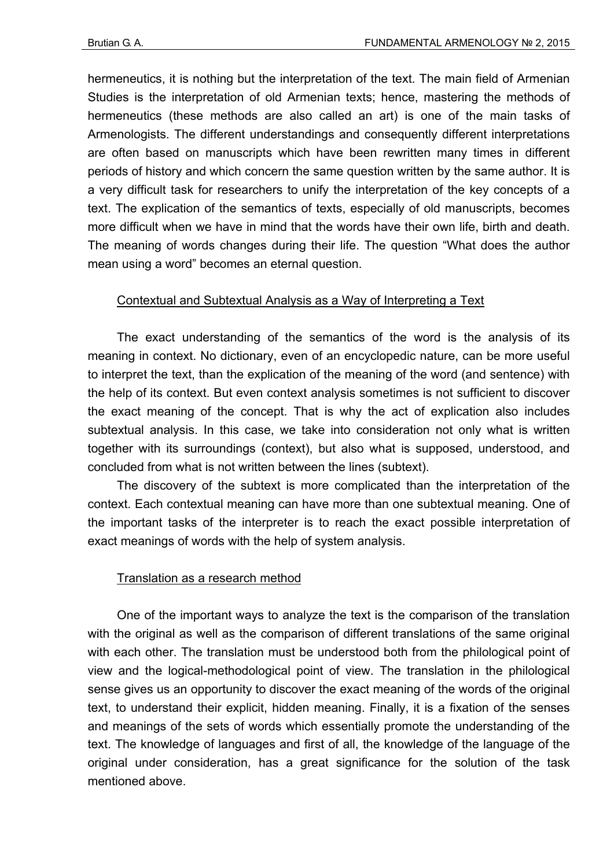hermeneutics, it is nothing but the interpretation of the text. The main field of Armenian Studies is the interpretation of old Armenian texts; hence, mastering the methods of hermeneutics (these methods are also called an art) is one of the main tasks of Armenologists. The different understandings and consequently different interpretations are often based on manuscripts which have been rewritten many times in different periods of history and which concern the same question written by the same author. It is a very difficult task for researchers to unify the interpretation of the key concepts of a text. The explication of the semantics of texts, especially of old manuscripts, becomes more difficult when we have in mind that the words have their own life, birth and death. The meaning of words changes during their life. The question "What does the author mean using a word" becomes an eternal question.

# Contextual and Subtextual Analysis as a Way of Interpreting a Text

The exact understanding of the semantics of the word is the analysis of its meaning in context. No dictionary, even of an encyclopedic nature, can be more useful to interpret the text, than the explication of the meaning of the word (and sentence) with the help of its context. But even context analysis sometimes is not sufficient to discover the exact meaning of the concept. That is why the act of explication also includes subtextual analysis. In this case, we take into consideration not only what is written together with its surroundings (context), but also what is supposed, understood, and concluded from what is not written between the lines (subtext).

The discovery of the subtext is more complicated than the interpretation of the context. Each contextual meaning can have more than one subtextual meaning. One of the important tasks of the interpreter is to reach the exact possible interpretation of exact meanings of words with the help of system analysis.

# Translation as a research method

One of the important ways to analyze the text is the comparison of the translation with the original as well as the comparison of different translations of the same original with each other. The translation must be understood both from the philological point of view and the logical-methodological point of view. The translation in the philological sense gives us an opportunity to discover the exact meaning of the words of the original text, to understand their explicit, hidden meaning. Finally, it is a fixation of the senses and meanings of the sets of words which essentially promote the understanding of the text. The knowledge of languages and first of all, the knowledge of the language of the original under consideration, has a great significance for the solution of the task mentioned above.